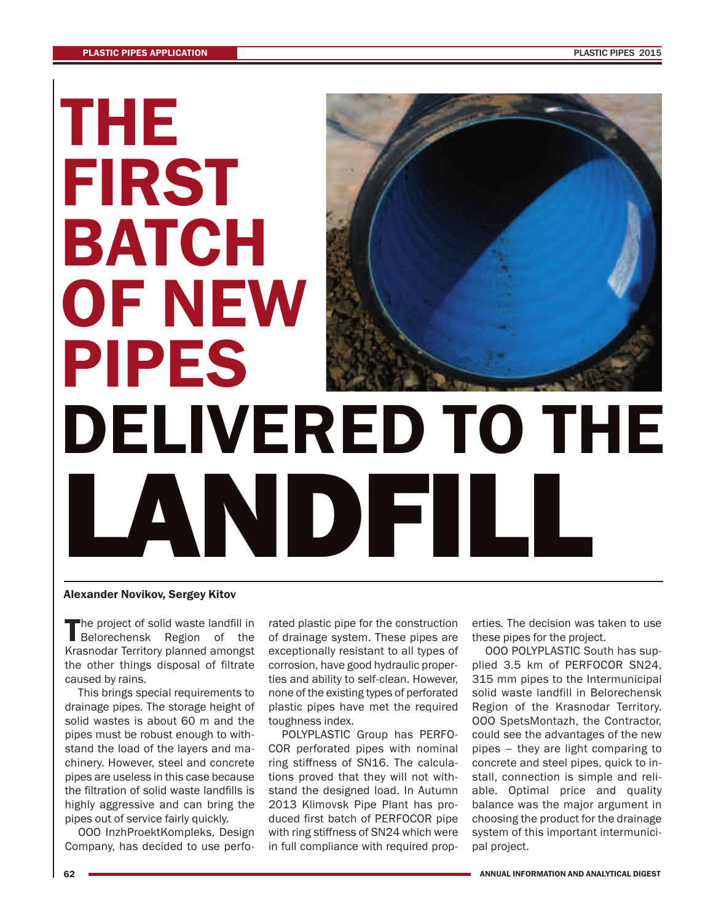## **THE FIRST BATCH OF NEW PIPES DELIVERED TO THE LANDFILL**

## **Alexander Novikov, Sergey Kitov**

The project of solid waste landfill in<br>Belorechensk Region of the Krasnodar Territory planned amongst the other things disposal of filtrate caused by rains.

This brings special requirements to drainage pipes. The storage height of solid wastes is about 60 m and the pipes must be robust enough to withstand the load of the layers and machinery. However, steel and concrete pipes are useless in this case because the filtration of solid waste landfills is highly aggressive and can bring the pipes out of service fairly quickly.

OOO InzhProektKompleks, Design Company, has decided to use perfo-

rated plastic pipe for the construction of drainage system. These pipes are exceptionally resistant to all types of corrosion, have good hydraulic properties and ability to self-clean. However, none of the existing types of perforated plastic pipes have met the required toughness index.

POLYPLASTIC Group has PERFO-COR perforated pipes with nominal ring stiffness of SN16. The calculations proved that they will not withstand the designed load. In Autumn 2013 Klimovsk Pipe Plant has produced first batch of PERFOCOR pipe with ring stiffness of SN24 which were in full compliance with required properties. The decision was taken to use these pipes for the project.

OOO POLYPLASTIC South has supplied 3.5 km of PERFOCOR SN24, 315 mm pipes to the Intermunicipal solid waste landfill in Belorechensk Region of the Krasnodar Territory. OOO SpetsMontazh, the Contractor, could see the advantages of the new pipes – they are light comparing to concrete and steel pipes, quick to install, connection is simple and reliable. Optimal price and quality balance was the major argument in choosing the product for the drainage system of this important intermunicipal project.